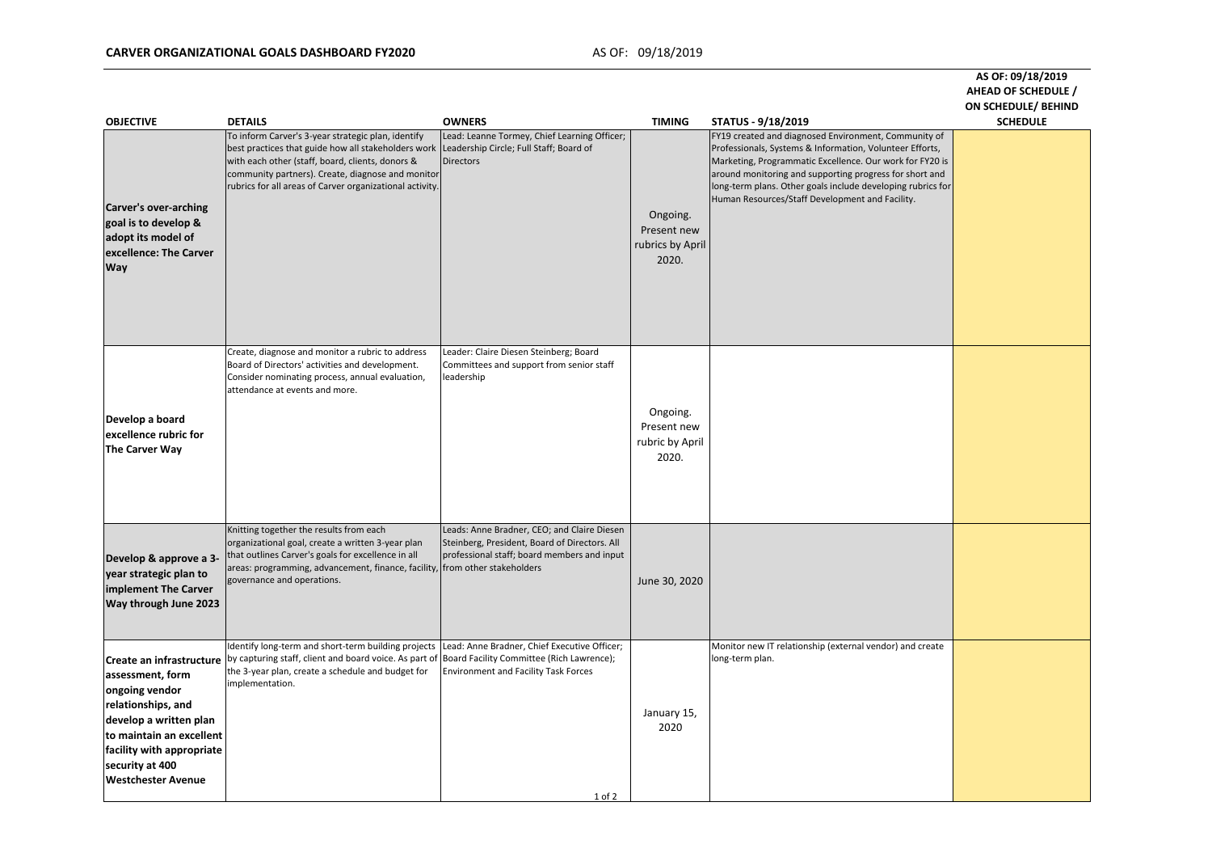# **CARVER ORGANIZATIONAL GOALS DASHBOARD FY2020** AS OF: 09/18/2019

## **AS OF: 09/18/2019 AHEAD OF SCHEDULE / ON SCHEDULE/ BEHIND**

| <b>OBJECTIVE</b>                                                                                                                                                                                                        | <b>DETAILS</b>                                                                                                                                                                                                                                                                 | <b>OWNERS</b>                                                                                                                                      | <b>TIMING</b>                                        | STATUS - 9/18/2019                                                                                                                                                                                                                                                                                                                                        | <b>SCHEDULE</b> |
|-------------------------------------------------------------------------------------------------------------------------------------------------------------------------------------------------------------------------|--------------------------------------------------------------------------------------------------------------------------------------------------------------------------------------------------------------------------------------------------------------------------------|----------------------------------------------------------------------------------------------------------------------------------------------------|------------------------------------------------------|-----------------------------------------------------------------------------------------------------------------------------------------------------------------------------------------------------------------------------------------------------------------------------------------------------------------------------------------------------------|-----------------|
| Carver's over-arching<br>goal is to develop &<br>adopt its model of<br>excellence: The Carver<br><b>Way</b>                                                                                                             | To inform Carver's 3-year strategic plan, identify<br>best practices that guide how all stakeholders work<br>with each other (staff, board, clients, donors &<br>community partners). Create, diagnose and monitor<br>rubrics for all areas of Carver organizational activity. | Lead: Leanne Tormey, Chief Learning Officer;<br>Leadership Circle; Full Staff; Board of<br><b>Directors</b>                                        | Ongoing.<br>Present new<br>rubrics by April<br>2020. | FY19 created and diagnosed Environment, Community of<br>Professionals, Systems & Information, Volunteer Efforts,<br>Marketing, Programmatic Excellence. Our work for FY20 is<br>around monitoring and supporting progress for short and<br>long-term plans. Other goals include developing rubrics for<br>Human Resources/Staff Development and Facility. |                 |
| Develop a board<br>excellence rubric for<br>The Carver Way                                                                                                                                                              | Create, diagnose and monitor a rubric to address<br>Board of Directors' activities and development.<br>Consider nominating process, annual evaluation,<br>attendance at events and more.                                                                                       | Leader: Claire Diesen Steinberg; Board<br>Committees and support from senior staff<br>leadership                                                   | Ongoing.<br>Present new<br>rubric by April<br>2020.  |                                                                                                                                                                                                                                                                                                                                                           |                 |
| Develop & approve a 3-<br>year strategic plan to<br>implement The Carver<br>Way through June 2023                                                                                                                       | Knitting together the results from each<br>organizational goal, create a written 3-year plan<br>that outlines Carver's goals for excellence in all<br>areas: programming, advancement, finance, facility, from other stakeholders<br>governance and operations.                | Leads: Anne Bradner, CEO; and Claire Diesen<br>Steinberg, President, Board of Directors. All<br>professional staff; board members and input        | June 30, 2020                                        |                                                                                                                                                                                                                                                                                                                                                           |                 |
| Create an infrastructure<br>assessment, form<br>ongoing vendor<br>relationships, and<br>develop a written plan<br>to maintain an excellent<br>facility with appropriate<br>security at 400<br><b>Westchester Avenue</b> | Identify long-term and short-term building projects<br>by capturing staff, client and board voice. As part of<br>the 3-year plan, create a schedule and budget for<br>implementation.                                                                                          | Lead: Anne Bradner, Chief Executive Officer;<br>Board Facility Committee (Rich Lawrence);<br><b>Environment and Facility Task Forces</b><br>1 of 2 | January 15,<br>2020                                  | Monitor new IT relationship (external vendor) and create<br>long-term plan.                                                                                                                                                                                                                                                                               |                 |